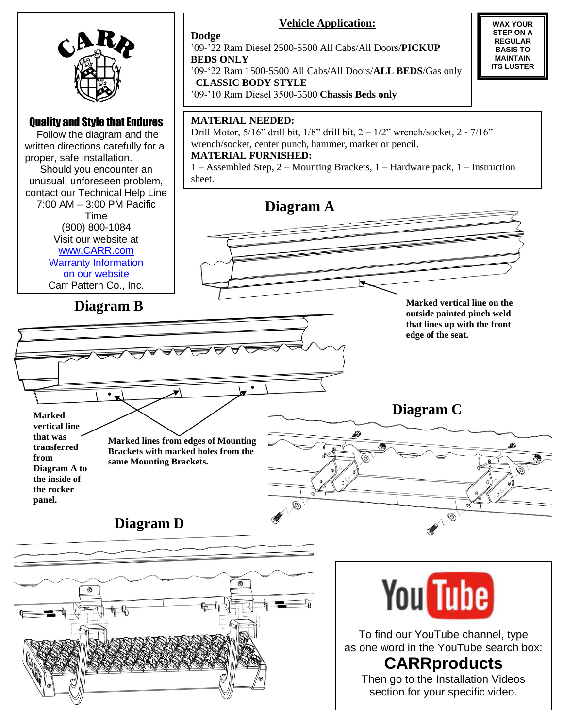